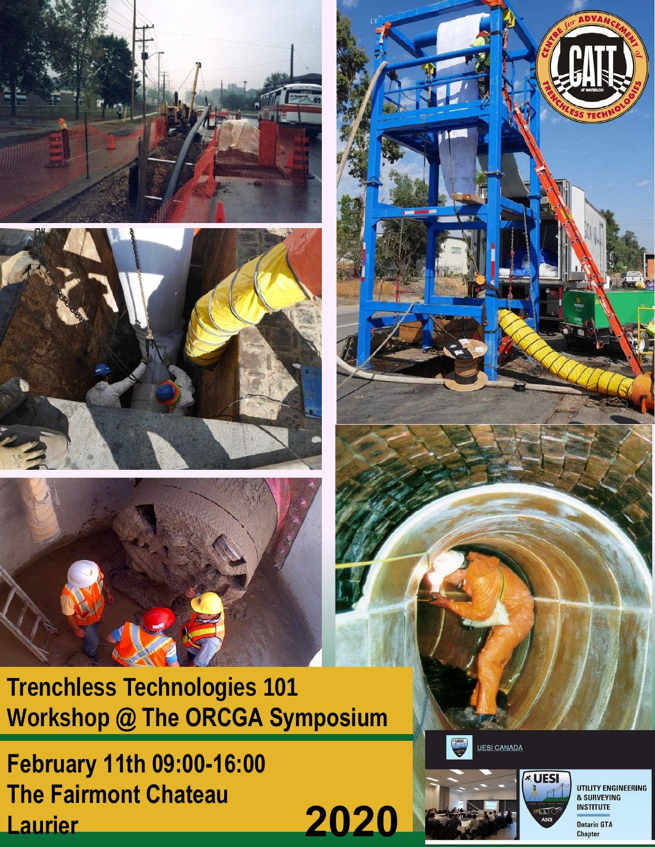







**February 11th 09:00-16:00 The Fairmont Chateau Laurier**





UTILITY ENGINEERING & SURVEYING **INSTITUTE Ontario GTA Chapter**